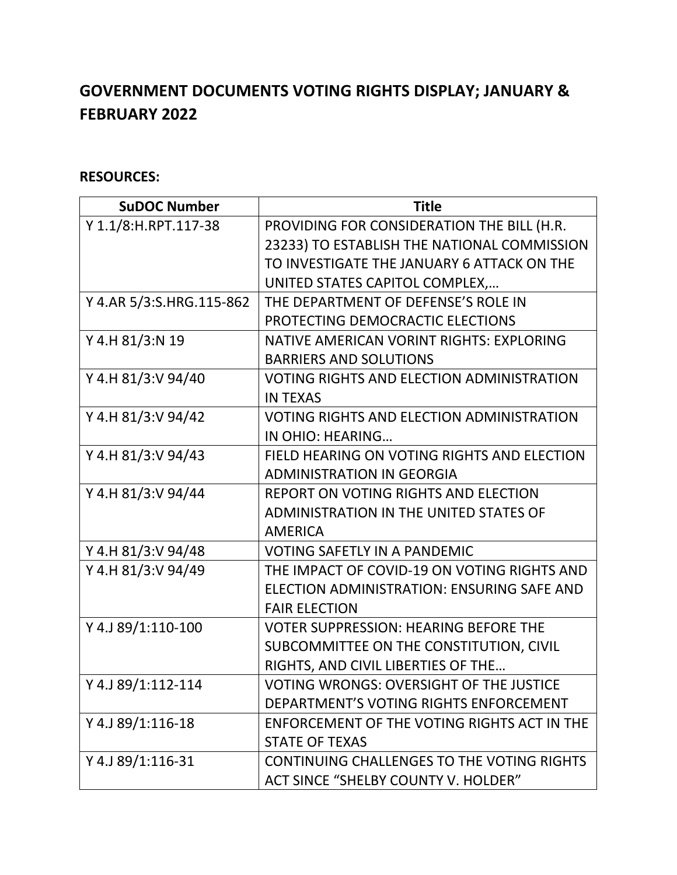## **GOVERNMENT DOCUMENTS VOTING RIGHTS DISPLAY; JANUARY & FEBRUARY 2022**

## **RESOURCES:**

| <b>SuDOC Number</b>      | <b>Title</b>                                     |
|--------------------------|--------------------------------------------------|
| Y 1.1/8:H.RPT.117-38     | PROVIDING FOR CONSIDERATION THE BILL (H.R.       |
|                          | 23233) TO ESTABLISH THE NATIONAL COMMISSION      |
|                          | TO INVESTIGATE THE JANUARY 6 ATTACK ON THE       |
|                          | UNITED STATES CAPITOL COMPLEX,                   |
| Y 4.AR 5/3:S.HRG.115-862 | THE DEPARTMENT OF DEFENSE'S ROLE IN              |
|                          | PROTECTING DEMOCRACTIC ELECTIONS                 |
| Y 4.H 81/3:N 19          | NATIVE AMERICAN VORINT RIGHTS: EXPLORING         |
|                          | <b>BARRIERS AND SOLUTIONS</b>                    |
| Y 4.H 81/3:V 94/40       | <b>VOTING RIGHTS AND ELECTION ADMINISTRATION</b> |
|                          | <b>IN TEXAS</b>                                  |
| Y 4.H 81/3:V 94/42       | <b>VOTING RIGHTS AND ELECTION ADMINISTRATION</b> |
|                          | IN OHIO: HEARING                                 |
| Y 4.H 81/3:V 94/43       | FIELD HEARING ON VOTING RIGHTS AND ELECTION      |
|                          | <b>ADMINISTRATION IN GEORGIA</b>                 |
| Y 4.H 81/3:V 94/44       | REPORT ON VOTING RIGHTS AND ELECTION             |
|                          | <b>ADMINISTRATION IN THE UNITED STATES OF</b>    |
|                          | <b>AMERICA</b>                                   |
| Y 4.H 81/3:V 94/48       | <b>VOTING SAFETLY IN A PANDEMIC</b>              |
| Y 4.H 81/3:V 94/49       | THE IMPACT OF COVID-19 ON VOTING RIGHTS AND      |
|                          | ELECTION ADMINISTRATION: ENSURING SAFE AND       |
|                          | <b>FAIR ELECTION</b>                             |
| Y 4.J 89/1:110-100       | <b>VOTER SUPPRESSION: HEARING BEFORE THE</b>     |
|                          | SUBCOMMITTEE ON THE CONSTITUTION, CIVIL          |
|                          | RIGHTS, AND CIVIL LIBERTIES OF THE               |
| Y 4.J 89/1:112-114       | VOTING WRONGS: OVERSIGHT OF THE JUSTICE          |
|                          | DEPARTMENT'S VOTING RIGHTS ENFORCEMENT           |
| Y 4.J 89/1:116-18        | ENFORCEMENT OF THE VOTING RIGHTS ACT IN THE      |
|                          | <b>STATE OF TEXAS</b>                            |
| Y 4.J 89/1:116-31        | CONTINUING CHALLENGES TO THE VOTING RIGHTS       |
|                          | <b>ACT SINCE "SHELBY COUNTY V. HOLDER"</b>       |